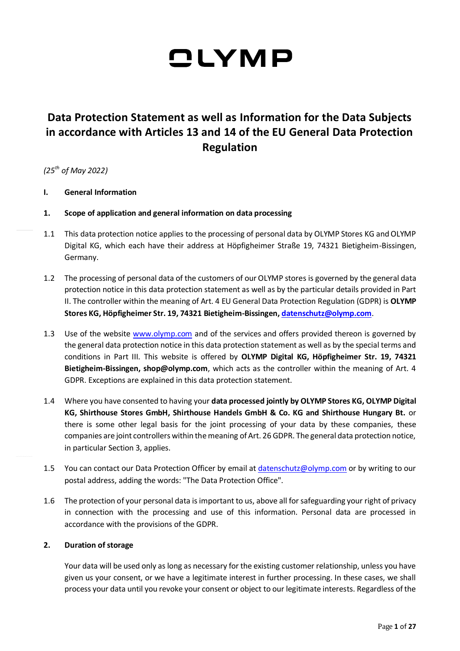### **Data Protection Statement as well as Information for the Data Subjects in accordance with Articles 13 and 14 of the EU General Data Protection Regulation**

*(25th of May 2022)*

- **I. General Information**
- **1. Scope of application and general information on data processing**
- 1.1 This data protection notice applies to the processing of personal data by OLYMP Stores KG and OLYMP Digital KG, which each have their address at Höpfigheimer Straße 19, 74321 Bietigheim-Bissingen, Germany.
- 1.2 The processing of personal data of the customers of our OLYMP stores is governed by the general data protection notice in this data protection statement as well as by the particular details provided in Part II. The controller within the meaning of Art. 4 EU General Data Protection Regulation (GDPR) is **OLYMP Stores KG, Höpfigheimer Str. 19, 74321 Bietigheim-Bissingen[, datenschutz@olymp.com](mailto:datenschutz@olymp.com)**.
- 1.3 Use of the website [www.olymp.com](http://www.olymp.com/) and of the services and offers provided thereon is governed by the general data protection notice in this data protection statement as well as by the special terms and conditions in Part III. This website is offered by **OLYMP Digital KG, Höpfigheimer Str. 19, 74321 Bietigheim-Bissingen, shop@olymp.com**, which acts as the controller within the meaning of Art. 4 GDPR. Exceptions are explained in this data protection statement.
- 1.4 Where you have consented to having your **data processed jointly by OLYMP Stores KG, OLYMP Digital KG, Shirthouse Stores GmbH, Shirthouse Handels GmbH & Co. KG and Shirthouse Hungary Bt.** or there is some other legal basis for the joint processing of your data by these companies, these companies are joint controllers within the meaning of Art. 26 GDPR. The general data protection notice, in particular Section 3, applies.
- 1.5 You can contact our Data Protection Officer by email at [datenschutz@olymp.com](mailto:datenschutz@olymp.com) or by writing to our postal address, adding the words: "The Data Protection Office".
- 1.6 The protection of your personal data is important to us, above all for safeguarding your right of privacy in connection with the processing and use of this information. Personal data are processed in accordance with the provisions of the GDPR.

### **2. Duration of storage**

Your data will be used only as long as necessary for the existing customer relationship, unless you have given us your consent, or we have a legitimate interest in further processing. In these cases, we shall process your data until you revoke your consent or object to our legitimate interests. Regardless of the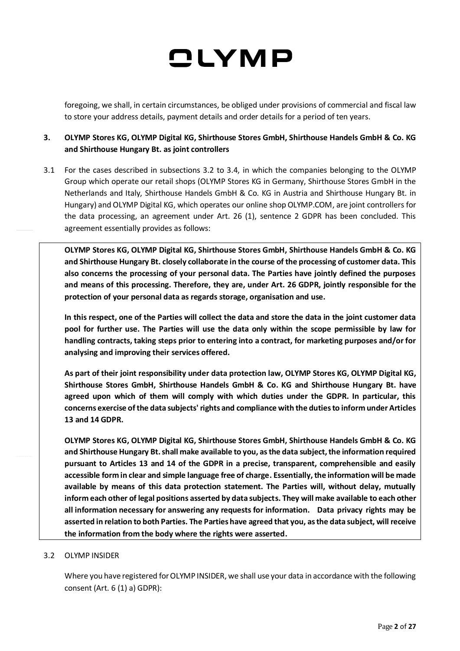foregoing, we shall, in certain circumstances, be obliged under provisions of commercial and fiscal law to store your address details, payment details and order details for a period of ten years.

### **3. OLYMP Stores KG, OLYMP Digital KG, Shirthouse Stores GmbH, Shirthouse Handels GmbH & Co. KG and Shirthouse Hungary Bt. as joint controllers**

3.1 For the cases described in subsections 3.2 to 3.4, in which the companies belonging to the OLYMP Group which operate our retail shops (OLYMP Stores KG in Germany, Shirthouse Stores GmbH in the Netherlands and Italy, Shirthouse Handels GmbH & Co. KG in Austria and Shirthouse Hungary Bt. in Hungary) and OLYMP Digital KG, which operates our online shop OLYMP.COM, are joint controllers for the data processing, an agreement under Art. 26 (1), sentence 2 GDPR has been concluded. This agreement essentially provides as follows:

**OLYMP Stores KG, OLYMP Digital KG, Shirthouse Stores GmbH, Shirthouse Handels GmbH & Co. KG and Shirthouse Hungary Bt. closely collaborate in the course of the processing of customer data. This also concerns the processing of your personal data. The Parties have jointly defined the purposes and means of this processing. Therefore, they are, under Art. 26 GDPR, jointly responsible for the protection of your personal data as regards storage, organisation and use.** 

**In this respect, one of the Parties will collect the data and store the data in the joint customer data pool for further use. The Parties will use the data only within the scope permissible by law for handling contracts, taking steps prior to entering into a contract, for marketing purposes and/or for analysing and improving their services offered.**

**As part of their joint responsibility under data protection law, OLYMP Stores KG, OLYMP Digital KG, Shirthouse Stores GmbH, Shirthouse Handels GmbH & Co. KG and Shirthouse Hungary Bt. have agreed upon which of them will comply with which duties under the GDPR. In particular, this concerns exercise of the data subjects' rights and compliance with the duties to inform under Articles 13 and 14 GDPR.**

**OLYMP Stores KG, OLYMP Digital KG, Shirthouse Stores GmbH, Shirthouse Handels GmbH & Co. KG and Shirthouse Hungary Bt.shall make available to you, as the data subject, the information required pursuant to Articles 13 and 14 of the GDPR in a precise, transparent, comprehensible and easily accessible form in clear and simple language free of charge. Essentially, the information will be made available by means of this data protection statement. The Parties will, without delay, mutually inform each other of legal positions asserted by data subjects. They will make available to each other all information necessary for answering any requests for information. Data privacy rights may be asserted in relation to both Parties. The Parties have agreed that you, as the data subject, will receive the information from the body where the rights were asserted.**

### 3.2 OLYMP INSIDER

Where you have registered for OLYMP INSIDER, we shall use your data in accordance with the following consent (Art. 6 (1) a) GDPR):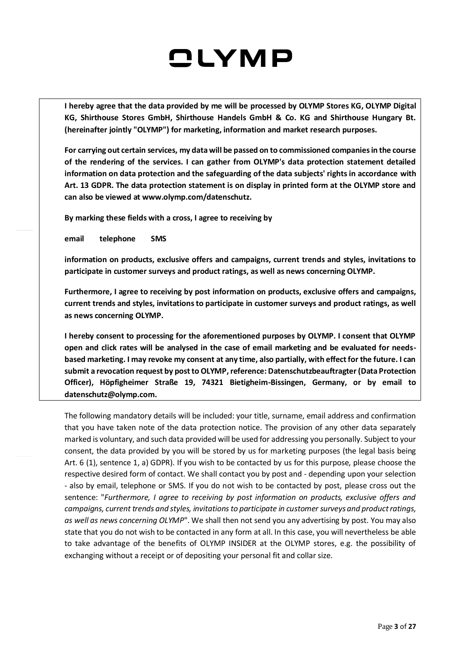**I hereby agree that the data provided by me will be processed by OLYMP Stores KG, OLYMP Digital KG, Shirthouse Stores GmbH, Shirthouse Handels GmbH & Co. KG and Shirthouse Hungary Bt. (hereinafter jointly "OLYMP") for marketing, information and market research purposes.**

**For carrying out certain services, my data will be passed on to commissioned companies in the course of the rendering of the services. I can gather from OLYMP's data protection statement detailed information on data protection and the safeguarding of the data subjects' rights in accordance with Art. 13 GDPR. The data protection statement is on display in printed form at the OLYMP store and can also be viewed at www.olymp.com/datenschutz.**

**By marking these fields with a cross, I agree to receiving by**

**email telephone SMS**

**information on products, exclusive offers and campaigns, current trends and styles, invitations to participate in customer surveys and product ratings, as well as news concerning OLYMP.**

**Furthermore, I agree to receiving by post information on products, exclusive offers and campaigns, current trends and styles, invitations to participate in customer surveys and product ratings, as well as news concerning OLYMP.**

**I hereby consent to processing for the aforementioned purposes by OLYMP. I consent that OLYMP open and click rates will be analysed in the case of email marketing and be evaluated for needsbased marketing. I may revoke my consent at any time, also partially, with effect for the future. I can submit a revocation request by post to OLYMP, reference: Datenschutzbeauftragter(Data Protection Officer), Höpfigheimer Straße 19, 74321 Bietigheim-Bissingen, Germany, or by email to datenschutz@olymp.com.**

The following mandatory details will be included: your title, surname, email address and confirmation that you have taken note of the data protection notice. The provision of any other data separately marked is voluntary, and such data provided will be used for addressing you personally. Subject to your consent, the data provided by you will be stored by us for marketing purposes (the legal basis being Art. 6 (1), sentence 1, a) GDPR). If you wish to be contacted by us for this purpose, please choose the respective desired form of contact. We shall contact you by post and - depending upon your selection - also by email, telephone or SMS. If you do not wish to be contacted by post, please cross out the sentence: "*Furthermore, I agree to receiving by post information on products, exclusive offers and campaigns, current trends and styles, invitations to participate in customer surveys and product ratings, as well as news concerning OLYMP*". We shall then not send you any advertising by post. You may also state that you do not wish to be contacted in any form at all. In this case, you will nevertheless be able to take advantage of the benefits of OLYMP INSIDER at the OLYMP stores, e.g. the possibility of exchanging without a receipt or of depositing your personal fit and collar size.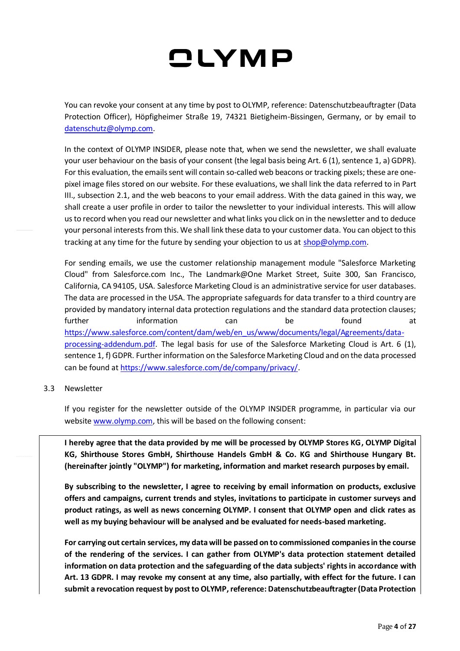You can revoke your consent at any time by post to OLYMP, reference: Datenschutzbeauftragter (Data Protection Officer), Höpfigheimer Straße 19, 74321 Bietigheim-Bissingen, Germany, or by email to [datenschutz@olymp.com.](mailto:datenschutz@olymp.com)

In the context of OLYMP INSIDER, please note that, when we send the newsletter, we shall evaluate your user behaviour on the basis of your consent (the legal basis being Art. 6 (1), sentence 1, a) GDPR). For this evaluation, the emails sent will contain so-called web beacons or tracking pixels; these are onepixel image files stored on our website. For these evaluations, we shall link the data referred to in Part III., subsection 2.1, and the web beacons to your email address. With the data gained in this way, we shall create a user profile in order to tailor the newsletter to your individual interests. This will allow us to record when you read our newsletter and what links you click on in the newsletter and to deduce your personal interests from this. We shall link these data to your customer data. You can object to this tracking at any time for the future by sending your objection to us at [shop@olymp.com.](mailto:shop@olymp.com)

For sending emails, we use the customer relationship management module "Salesforce Marketing Cloud" from Salesforce.com Inc., The Landmark@One Market Street, Suite 300, San Francisco, California, CA 94105, USA. Salesforce Marketing Cloud is an administrative service for user databases. The data are processed in the USA. The appropriate safeguards for data transfer to a third country are provided by mandatory internal data protection regulations and the standard data protection clauses; further information can be found at [https://www.salesforce.com/content/dam/web/en\\_us/www/documents/legal/Agreements/data](https://www.salesforce.com/content/dam/web/en_us/www/documents/legal/Agreements/data-processing-addendum.pdf)[processing-addendum.pdf.](https://www.salesforce.com/content/dam/web/en_us/www/documents/legal/Agreements/data-processing-addendum.pdf) The legal basis for use of the Salesforce Marketing Cloud is Art. 6 (1), sentence 1, f) GDPR. Further information on the Salesforce Marketing Cloud and on the data processed can be found at [https://www.salesforce.com/de/company/privacy/.](https://www.salesforce.com/de/company/privacy/)

#### 3.3 Newsletter

If you register for the newsletter outside of the OLYMP INSIDER programme, in particular via our website [www.olymp.com,](http://www.olymp.com/) this will be based on the following consent:

**I hereby agree that the data provided by me will be processed by OLYMP Stores KG, OLYMP Digital KG, Shirthouse Stores GmbH, Shirthouse Handels GmbH & Co. KG and Shirthouse Hungary Bt. (hereinafter jointly "OLYMP") for marketing, information and market research purposes by email.** 

**By subscribing to the newsletter, I agree to receiving by email information on products, exclusive offers and campaigns, current trends and styles, invitations to participate in customer surveys and product ratings, as well as news concerning OLYMP. I consent that OLYMP open and click rates as well as my buying behaviour will be analysed and be evaluated for needs-based marketing.**

**For carrying out certain services, my data will be passed on to commissioned companies in the course of the rendering of the services. I can gather from OLYMP's data protection statement detailed information on data protection and the safeguarding of the data subjects' rights in accordance with Art. 13 GDPR. I may revoke my consent at any time, also partially, with effect for the future. I can submit a revocation request by post to OLYMP, reference: Datenschutzbeauftragter (Data Protection**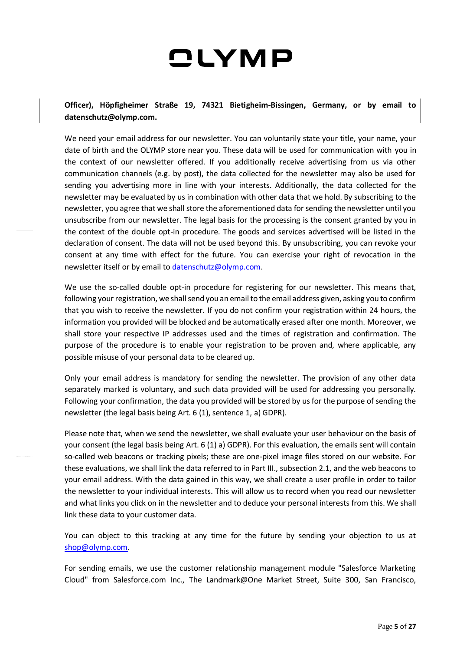**Officer), Höpfigheimer Straße 19, 74321 Bietigheim-Bissingen, Germany, or by email to datenschutz@olymp.com.**

We need your email address for our newsletter. You can voluntarily state your title, your name, your date of birth and the OLYMP store near you. These data will be used for communication with you in the context of our newsletter offered. If you additionally receive advertising from us via other communication channels (e.g. by post), the data collected for the newsletter may also be used for sending you advertising more in line with your interests. Additionally, the data collected for the newsletter may be evaluated by us in combination with other data that we hold. By subscribing to the newsletter, you agree that we shall store the aforementioned data for sending the newsletter until you unsubscribe from our newsletter. The legal basis for the processing is the consent granted by you in the context of the double opt-in procedure. The goods and services advertised will be listed in the declaration of consent. The data will not be used beyond this. By unsubscribing, you can revoke your consent at any time with effect for the future. You can exercise your right of revocation in the newsletter itself or by email to [datenschutz@olymp.com.](mailto:datenschutz@olymp.com)

We use the so-called double opt-in procedure for registering for our newsletter. This means that, following your registration, we shall send you an email to the email address given, asking you to confirm that you wish to receive the newsletter. If you do not confirm your registration within 24 hours, the information you provided will be blocked and be automatically erased after one month. Moreover, we shall store your respective IP addresses used and the times of registration and confirmation. The purpose of the procedure is to enable your registration to be proven and, where applicable, any possible misuse of your personal data to be cleared up.

Only your email address is mandatory for sending the newsletter. The provision of any other data separately marked is voluntary, and such data provided will be used for addressing you personally. Following your confirmation, the data you provided will be stored by us for the purpose of sending the newsletter (the legal basis being Art. 6 (1), sentence 1, a) GDPR).

Please note that, when we send the newsletter, we shall evaluate your user behaviour on the basis of your consent (the legal basis being Art. 6 (1) a) GDPR). For this evaluation, the emails sent will contain so-called web beacons or tracking pixels; these are one-pixel image files stored on our website. For these evaluations, we shall link the data referred to in Part III., subsection 2.1, and the web beacons to your email address. With the data gained in this way, we shall create a user profile in order to tailor the newsletter to your individual interests. This will allow us to record when you read our newsletter and what links you click on in the newsletter and to deduce your personal interests from this. We shall link these data to your customer data.

You can object to this tracking at any time for the future by sending your objection to us at [shop@olymp.com.](mailto:shop@olymp.com)

For sending emails, we use the customer relationship management module "Salesforce Marketing Cloud" from Salesforce.com Inc., The Landmark@One Market Street, Suite 300, San Francisco,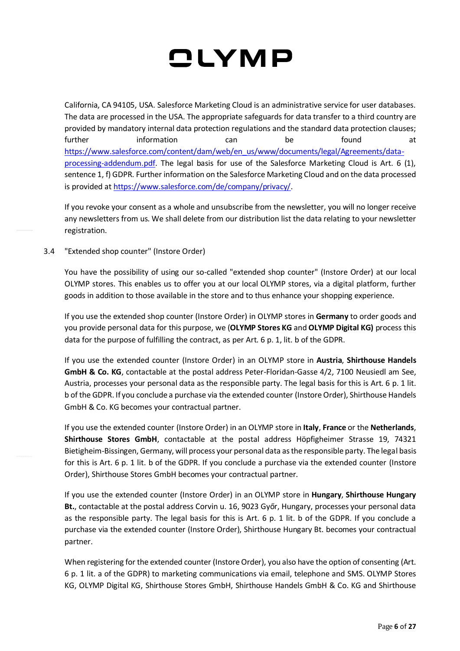California, CA 94105, USA. Salesforce Marketing Cloud is an administrative service for user databases. The data are processed in the USA. The appropriate safeguards for data transfer to a third country are provided by mandatory internal data protection regulations and the standard data protection clauses; further information can be found at [https://www.salesforce.com/content/dam/web/en\\_us/www/documents/legal/Agreements/data](https://www.salesforce.com/content/dam/web/en_us/www/documents/legal/Agreements/data-processing-addendum.pdf)[processing-addendum.pdf.](https://www.salesforce.com/content/dam/web/en_us/www/documents/legal/Agreements/data-processing-addendum.pdf) The legal basis for use of the Salesforce Marketing Cloud is Art. 6 (1), sentence 1, f) GDPR. Further information on the Salesforce Marketing Cloud and on the data processed is provided at [https://www.salesforce.com/de/company/privacy/.](https://www.salesforce.com/de/company/privacy/)

If you revoke your consent as a whole and unsubscribe from the newsletter, you will no longer receive any newsletters from us. We shall delete from our distribution list the data relating to your newsletter registration.

3.4 "Extended shop counter" (Instore Order)

You have the possibility of using our so-called "extended shop counter" (Instore Order) at our local OLYMP stores. This enables us to offer you at our local OLYMP stores, via a digital platform, further goods in addition to those available in the store and to thus enhance your shopping experience.

If you use the extended shop counter (Instore Order) in OLYMP stores in **Germany** to order goods and you provide personal data for this purpose, we (**OLYMP Stores KG** and **OLYMP Digital KG)** process this data for the purpose of fulfilling the contract, as per Art. 6 p. 1, lit. b of the GDPR.

If you use the extended counter (Instore Order) in an OLYMP store in **Austria**, **Shirthouse Handels GmbH & Co. KG**, contactable at the postal address Peter-Floridan-Gasse 4/2, 7100 Neusiedl am See, Austria, processes your personal data as the responsible party. The legal basis for this is Art. 6 p. 1 lit. b of the GDPR. If you conclude a purchase via the extended counter (Instore Order), Shirthouse Handels GmbH & Co. KG becomes your contractual partner.

If you use the extended counter (Instore Order) in an OLYMP store in **Italy**, **France** or the **Netherlands**, **Shirthouse Stores GmbH**, contactable at the postal address Höpfigheimer Strasse 19, 74321 Bietigheim-Bissingen, Germany, will process your personal data as the responsible party. The legal basis for this is Art. 6 p. 1 lit. b of the GDPR. If you conclude a purchase via the extended counter (Instore Order), Shirthouse Stores GmbH becomes your contractual partner.

If you use the extended counter (Instore Order) in an OLYMP store in **Hungary**, **Shirthouse Hungary Bt.**, contactable at the postal address Corvin u. 16, 9023 Győr, Hungary, processes your personal data as the responsible party. The legal basis for this is Art. 6 p. 1 lit. b of the GDPR. If you conclude a purchase via the extended counter (Instore Order), Shirthouse Hungary Bt. becomes your contractual partner.

When registering for the extended counter (Instore Order), you also have the option of consenting (Art. 6 p. 1 lit. a of the GDPR) to marketing communications via email, telephone and SMS. OLYMP Stores KG, OLYMP Digital KG, Shirthouse Stores GmbH, Shirthouse Handels GmbH & Co. KG and Shirthouse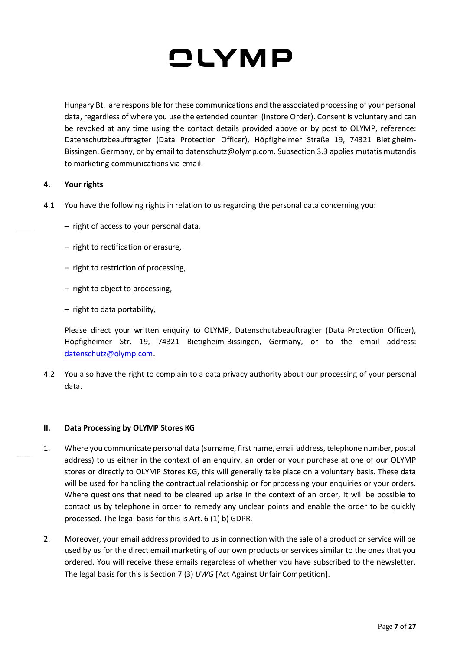

Hungary Bt. are responsible for these communications and the associated processing of your personal data, regardless of where you use the extended counter (Instore Order). Consent is voluntary and can be revoked at any time using the contact details provided above or by post to OLYMP, reference: Datenschutzbeauftragter (Data Protection Officer), Höpfigheimer Straße 19, 74321 Bietigheim-Bissingen, Germany, or by email to datenschutz@olymp.com. Subsection 3.3 applies mutatis mutandis to marketing communications via email.

#### **4. Your rights**

- 4.1 You have the following rights in relation to us regarding the personal data concerning you:
	- right of access to your personal data,
	- right to rectification or erasure,
	- right to restriction of processing,
	- right to object to processing,
	- right to data portability,

Please direct your written enquiry to OLYMP, Datenschutzbeauftragter (Data Protection Officer), Höpfigheimer Str. 19, 74321 Bietigheim-Bissingen, Germany, or to the email address: [datenschutz@olymp.com](mailto:datenschutz@olymp.com.).

4.2 You also have the right to complain to a data privacy authority about our processing of your personal data.

#### **II. Data Processing by OLYMP Stores KG**

- 1. Where you communicate personal data (surname, first name, email address, telephone number, postal address) to us either in the context of an enquiry, an order or your purchase at one of our OLYMP stores or directly to OLYMP Stores KG, this will generally take place on a voluntary basis. These data will be used for handling the contractual relationship or for processing your enquiries or your orders. Where questions that need to be cleared up arise in the context of an order, it will be possible to contact us by telephone in order to remedy any unclear points and enable the order to be quickly processed. The legal basis for this is Art. 6 (1) b) GDPR.
- 2. Moreover, your email address provided to us in connection with the sale of a product or service will be used by us for the direct email marketing of our own products or services similar to the ones that you ordered. You will receive these emails regardless of whether you have subscribed to the newsletter. The legal basis for this is Section 7 (3) *UWG* [Act Against Unfair Competition].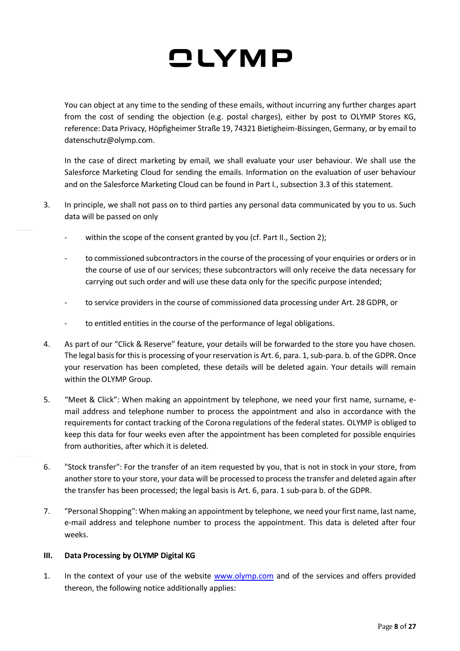You can object at any time to the sending of these emails, without incurring any further charges apart from the cost of sending the objection (e.g. postal charges), either by post to OLYMP Stores KG, reference: Data Privacy, Höpfigheimer Straße 19, 74321 Bietigheim-Bissingen, Germany, or by email to datenschutz@olymp.com.

In the case of direct marketing by email, we shall evaluate your user behaviour. We shall use the Salesforce Marketing Cloud for sending the emails. Information on the evaluation of user behaviour and on the Salesforce Marketing Cloud can be found in Part I., subsection 3.3 of this statement.

- 3. In principle, we shall not pass on to third parties any personal data communicated by you to us. Such data will be passed on only
	- within the scope of the consent granted by you (cf. Part II., Section 2);
	- to commissioned subcontractors in the course of the processing of your enquiries or orders or in the course of use of our services; these subcontractors will only receive the data necessary for carrying out such order and will use these data only for the specific purpose intended;
	- to service providers in the course of commissioned data processing under Art. 28 GDPR, or
	- to entitled entities in the course of the performance of legal obligations.
- 4. As part of our "Click & Reserve" feature, your details will be forwarded to the store you have chosen. The legal basis for this is processing of your reservation is Art. 6, para. 1, sub-para. b. of the GDPR. Once your reservation has been completed, these details will be deleted again. Your details will remain within the OLYMP Group.
- 5. "Meet & Click": When making an appointment by telephone, we need your first name, surname, email address and telephone number to process the appointment and also in accordance with the requirements for contact tracking of the Corona regulations of the federal states. OLYMP is obliged to keep this data for four weeks even after the appointment has been completed for possible enquiries from authorities, after which it is deleted.
- 6. "Stock transfer": For the transfer of an item requested by you, that is not in stock in your store, from another store to your store, your data will be processed to process the transfer and deleted again after the transfer has been processed; the legal basis is Art. 6, para. 1 sub-para b. of the GDPR.
- 7. "Personal Shopping": When making an appointment by telephone, we need your first name, last name, e-mail address and telephone number to process the appointment. This data is deleted after four weeks.

### **III. Data Processing by OLYMP Digital KG**

1. In the context of your use of the website [www.olymp.com](http://www.olymp.com/) and of the services and offers provided thereon, the following notice additionally applies: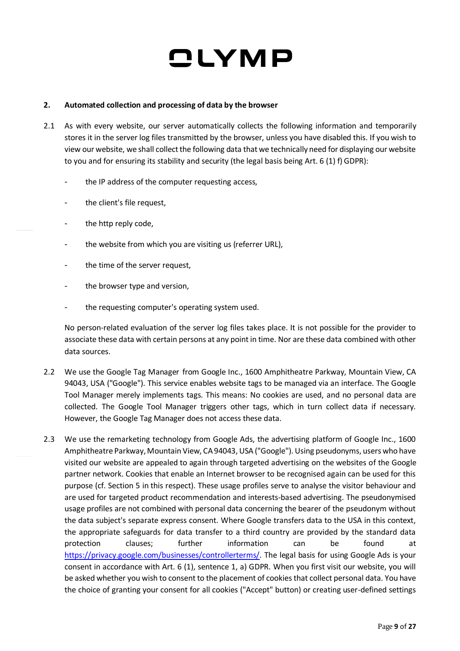#### **2. Automated collection and processing of data by the browser**

- 2.1 As with every website, our server automatically collects the following information and temporarily stores it in the server log files transmitted by the browser, unless you have disabled this. If you wish to view our website, we shall collect the following data that we technically need for displaying our website to you and for ensuring its stability and security (the legal basis being Art. 6 (1) f) GDPR):
	- the IP address of the computer requesting access,
	- the client's file request,
	- the http reply code,
	- the website from which you are visiting us (referrer URL),
	- the time of the server request,
	- the browser type and version,
	- the requesting computer's operating system used.

No person-related evaluation of the server log files takes place. It is not possible for the provider to associate these data with certain persons at any point in time. Nor are these data combined with other data sources.

- 2.2 We use the Google Tag Manager from Google Inc., 1600 Amphitheatre Parkway, Mountain View, CA 94043, USA ("Google"). This service enables website tags to be managed via an interface. The Google Tool Manager merely implements tags. This means: No cookies are used, and no personal data are collected. The Google Tool Manager triggers other tags, which in turn collect data if necessary. However, the Google Tag Manager does not access these data.
- 2.3 We use the remarketing technology from Google Ads, the advertising platform of Google Inc., 1600 Amphitheatre Parkway, Mountain View, CA 94043, USA ("Google"). Using pseudonyms, users who have visited our website are appealed to again through targeted advertising on the websites of the Google partner network. Cookies that enable an Internet browser to be recognised again can be used for this purpose (cf. Section 5 in this respect). These usage profiles serve to analyse the visitor behaviour and are used for targeted product recommendation and interests-based advertising. The pseudonymised usage profiles are not combined with personal data concerning the bearer of the pseudonym without the data subject's separate express consent. Where Google transfers data to the USA in this context, the appropriate safeguards for data transfer to a third country are provided by the standard data protection clauses; further information can be found at [https://privacy.google.com/businesses/controllerterms/.](https://privacy.google.com/businesses/controllerterms/) The legal basis for using Google Ads is your consent in accordance with Art. 6 (1), sentence 1, a) GDPR. When you first visit our website, you will be asked whether you wish to consent to the placement of cookies that collect personal data. You have the choice of granting your consent for all cookies ("Accept" button) or creating user-defined settings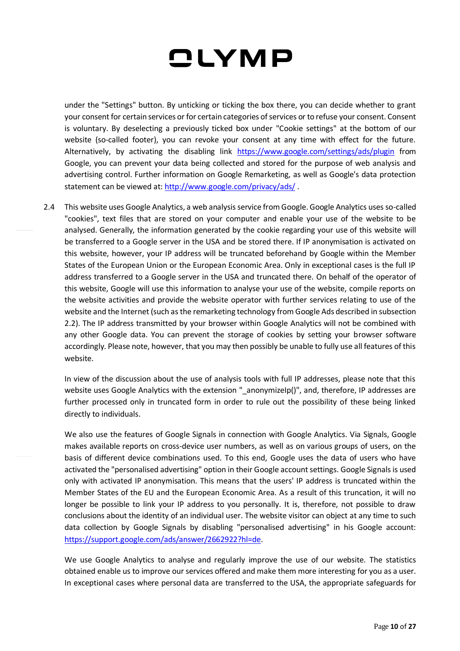under the "Settings" button. By unticking or ticking the box there, you can decide whether to grant your consent for certain services or for certain categories of services or to refuse your consent. Consent is voluntary. By deselecting a previously ticked box under "Cookie settings" at the bottom of our website (so-called footer), you can revoke your consent at any time with effect for the future. Alternatively, by activating the disabling link <https://www.google.com/settings/ads/plugin> from Google, you can prevent your data being collected and stored for the purpose of web analysis and advertising control. Further information on Google Remarketing, as well as Google's data protection statement can be viewed at:<http://www.google.com/privacy/ads/>.

2.4 This website uses Google Analytics, a web analysis service from Google. Google Analytics uses so-called "cookies", text files that are stored on your computer and enable your use of the website to be analysed. Generally, the information generated by the cookie regarding your use of this website will be transferred to a Google server in the USA and be stored there. If IP anonymisation is activated on this website, however, your IP address will be truncated beforehand by Google within the Member States of the European Union or the European Economic Area. Only in exceptional cases is the full IP address transferred to a Google server in the USA and truncated there. On behalf of the operator of this website, Google will use this information to analyse your use of the website, compile reports on the website activities and provide the website operator with further services relating to use of the website and the Internet (such as the remarketing technology from Google Ads described in subsection 2.2). The IP address transmitted by your browser within Google Analytics will not be combined with any other Google data. You can prevent the storage of cookies by setting your browser software accordingly. Please note, however, that you may then possibly be unable to fully use all features of this website.

In view of the discussion about the use of analysis tools with full IP addresses, please note that this website uses Google Analytics with the extension "\_anonymizeIp()", and, therefore, IP addresses are further processed only in truncated form in order to rule out the possibility of these being linked directly to individuals.

We also use the features of Google Signals in connection with Google Analytics. Via Signals, Google makes available reports on cross-device user numbers, as well as on various groups of users, on the basis of different device combinations used. To this end, Google uses the data of users who have activated the "personalised advertising" option in their Google account settings. Google Signals is used only with activated IP anonymisation. This means that the users' IP address is truncated within the Member States of the EU and the European Economic Area. As a result of this truncation, it will no longer be possible to link your IP address to you personally. It is, therefore, not possible to draw conclusions about the identity of an individual user. The website visitor can object at any time to such data collection by Google Signals by disabling "personalised advertising" in his Google account: [https://support.google.com/ads/answer/2662922?hl=de.](https://support.google.com/ads/answer/2662922?hl=de)

We use Google Analytics to analyse and regularly improve the use of our website. The statistics obtained enable us to improve our services offered and make them more interesting for you as a user. In exceptional cases where personal data are transferred to the USA, the appropriate safeguards for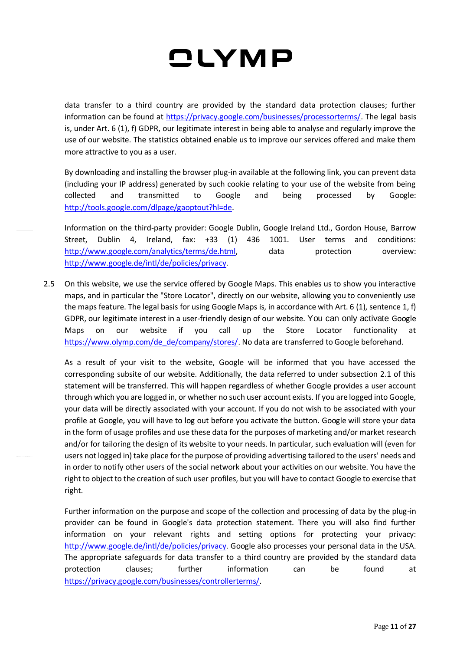data transfer to a third country are provided by the standard data protection clauses; further information can be found at [https://privacy.google.com/businesses/processorterms/.](https://privacy.google.com/businesses/processorterms/) The legal basis is, under Art. 6 (1), f) GDPR, our legitimate interest in being able to analyse and regularly improve the use of our website. The statistics obtained enable us to improve our services offered and make them more attractive to you as a user.

By downloading and installing the browser plug-in available at the following link, you can prevent data (including your IP address) generated by such cookie relating to your use of the website from being collected and transmitted to Google and being processed by Google: [http://tools.google.com/dlpage/gaoptout?hl=de.](http://tools.google.com/dlpage/gaoptout?hl=de)

Information on the third-party provider: Google Dublin, Google Ireland Ltd., Gordon House, Barrow Street, Dublin 4, Ireland, fax: +33 (1) 436 1001. User terms and conditions: [http://www.google.com/analytics/terms/de.html,](http://www.google.com/analytics/terms/de.html) data protection overview: [http://www.google.de/intl/de/policies/privacy.](http://www.google.de/intl/de/policies/privacy)

2.5 On this website, we use the service offered by Google Maps. This enables us to show you interactive maps, and in particular the "Store Locator", directly on our website, allowing you to conveniently use the maps feature. The legal basis for using Google Maps is, in accordance with Art. 6 (1), sentence 1, f) GDPR, our legitimate interest in a user-friendly design of our website. You can only activate Google Maps on our website if you call up the Store Locator functionality at [https://www.olymp.com/de\\_de/company/stores/.](https://www.olymp.com/de_de/company/stores/) No data are transferred to Google beforehand.

As a result of your visit to the website, Google will be informed that you have accessed the corresponding subsite of our website. Additionally, the data referred to under subsection 2.1 of this statement will be transferred. This will happen regardless of whether Google provides a user account through which you are logged in, or whether no such user account exists. If you are logged into Google, your data will be directly associated with your account. If you do not wish to be associated with your profile at Google, you will have to log out before you activate the button. Google will store your data in the form of usage profiles and use these data for the purposes of marketing and/or market research and/or for tailoring the design of its website to your needs. In particular, such evaluation will (even for users not logged in) take place for the purpose of providing advertising tailored to the users' needs and in order to notify other users of the social network about your activities on our website. You have the right to object to the creation of such user profiles, but you will have to contact Google to exercise that right.

Further information on the purpose and scope of the collection and processing of data by the plug-in provider can be found in Google's data protection statement. There you will also find further information on your relevant rights and setting options for protecting your privacy: [http://www.google.de/intl/de/policies/privacy.](http://www.google.de/intl/de/policies/privacy) Google also processes your personal data in the USA. The appropriate safeguards for data transfer to a third country are provided by the standard data protection clauses; further information can be found at [https://privacy.google.com/businesses/controllerterms/.](https://privacy.google.com/businesses/controllerterms/)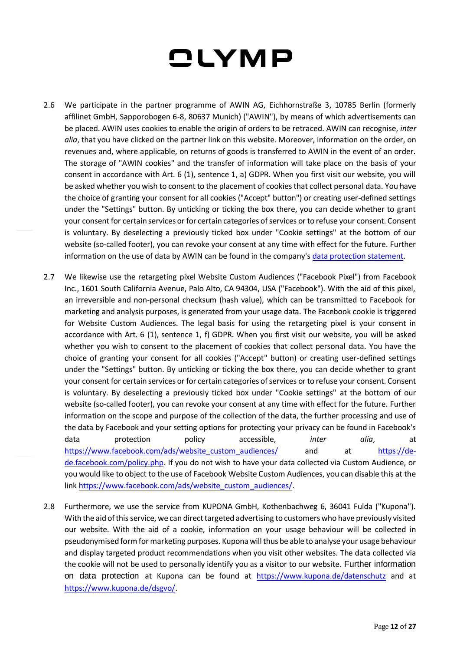- 2.6 We participate in the partner programme of AWIN AG, Eichhornstraße 3, 10785 Berlin (formerly affilinet GmbH, Sapporobogen 6-8, 80637 Munich) ("AWIN"), by means of which advertisements can be placed. AWIN uses cookies to enable the origin of orders to be retraced. AWIN can recognise, *inter alia*, that you have clicked on the partner link on this website. Moreover, information on the order, on revenues and, where applicable, on returns of goods is transferred to AWIN in the event of an order. The storage of "AWIN cookies" and the transfer of information will take place on the basis of your consent in accordance with Art. 6 (1), sentence 1, a) GDPR. When you first visit our website, you will be asked whether you wish to consent to the placement of cookies that collect personal data. You have the choice of granting your consent for all cookies ("Accept" button") or creating user-defined settings under the "Settings" button. By unticking or ticking the box there, you can decide whether to grant your consent for certain services or for certain categories of services or to refuse your consent. Consent is voluntary. By deselecting a previously ticked box under "Cookie settings" at the bottom of our website (so-called footer), you can revoke your consent at any time with effect for the future. Further information on the use of data by AWIN can be found in the company's [data protection statement.](https://www.awin.com/de/rechtliches/privacy-policy-DACH)
- 2.7 We likewise use the retargeting pixel Website Custom Audiences ("Facebook Pixel") from Facebook Inc., 1601 South California Avenue, Palo Alto, CA 94304, USA ("Facebook"). With the aid of this pixel, an irreversible and non-personal checksum (hash value), which can be transmitted to Facebook for marketing and analysis purposes, is generated from your usage data. The Facebook cookie is triggered for Website Custom Audiences. The legal basis for using the retargeting pixel is your consent in accordance with Art. 6 (1), sentence 1, f) GDPR. When you first visit our website, you will be asked whether you wish to consent to the placement of cookies that collect personal data. You have the choice of granting your consent for all cookies ("Accept" button) or creating user-defined settings under the "Settings" button. By unticking or ticking the box there, you can decide whether to grant your consent for certain services or for certain categories of services or to refuse your consent. Consent is voluntary. By deselecting a previously ticked box under "Cookie settings" at the bottom of our website (so-called footer), you can revoke your consent at any time with effect for the future. Further information on the scope and purpose of the collection of the data, the further processing and use of the data by Facebook and your setting options for protecting your privacy can be found in Facebook's data protection policy accessible, *inter alia*, at [https://www.facebook.com/ads/website\\_custom\\_audiences/](https://www.facebook.com/ads/website_custom_audiences/) and at [https://de](https://de-de.facebook.com/policy.php)[de.facebook.com/policy.php.](https://de-de.facebook.com/policy.php) If you do not wish to have your data collected via Custom Audience, or you would like to object to the use of Facebook Website Custom Audiences, you can disable this at the link [https://www.facebook.com/ads/website\\_custom\\_audiences/.](https://www.facebook.com/ads/website_custom_audiences/)
- 2.8 Furthermore, we use the service from KUPONA GmbH, Kothenbachweg 6, 36041 Fulda ("Kupona"). With the aid of this service, we can direct targeted advertising to customers who have previously visited our website. With the aid of a cookie, information on your usage behaviour will be collected in pseudonymised form for marketing purposes. Kupona will thus be able to analyse your usage behaviour and display targeted product recommendations when you visit other websites. The data collected via the cookie will not be used to personally identify you as a visitor to our website. Further information on data protection at Kupona can be found at <https://www.kupona.de/datenschutz> and at [https://www.kupona.de/dsgvo/.](https://www.kupona.de/dsgvo/)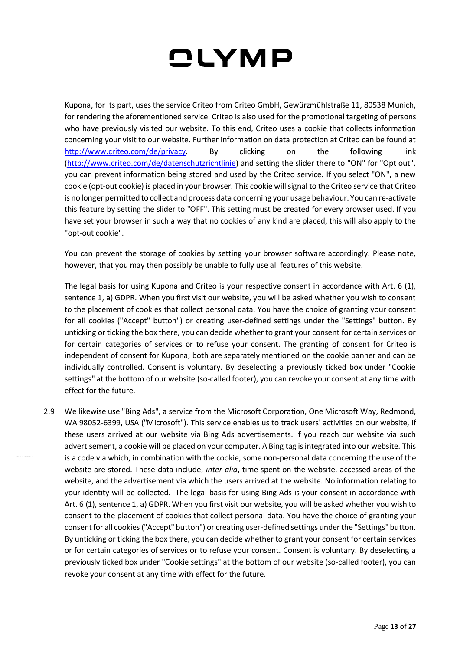Kupona, for its part, uses the service Criteo from Criteo GmbH, Gewürzmühlstraße 11, 80538 Munich, for rendering the aforementioned service. Criteo is also used for the promotional targeting of persons who have previously visited our website. To this end, Criteo uses a cookie that collects information concerning your visit to our website. Further information on data protection at Criteo can be found at [http://www.criteo.com/de/privacy.](http://www.criteo.com/de/privacy) By clicking on the following link [\(http://www.criteo.com/de/datenschutzrichtlinie\)](http://www.criteo.com/de/datenschutzrichtlinie) and setting the slider there to "ON" for "Opt out", you can prevent information being stored and used by the Criteo service. If you select "ON", a new cookie (opt-out cookie) is placed in your browser. This cookie will signal to the Criteo service that Criteo is no longer permitted to collect and process data concerning your usage behaviour. You can re-activate this feature by setting the slider to "OFF". This setting must be created for every browser used. If you have set your browser in such a way that no cookies of any kind are placed, this will also apply to the "opt-out cookie".

You can prevent the storage of cookies by setting your browser software accordingly. Please note, however, that you may then possibly be unable to fully use all features of this website.

The legal basis for using Kupona and Criteo is your respective consent in accordance with Art. 6 (1), sentence 1, a) GDPR. When you first visit our website, you will be asked whether you wish to consent to the placement of cookies that collect personal data. You have the choice of granting your consent for all cookies ("Accept" button") or creating user-defined settings under the "Settings" button. By unticking or ticking the box there, you can decide whether to grant your consent for certain services or for certain categories of services or to refuse your consent. The granting of consent for Criteo is independent of consent for Kupona; both are separately mentioned on the cookie banner and can be individually controlled. Consent is voluntary. By deselecting a previously ticked box under "Cookie settings" at the bottom of our website (so-called footer), you can revoke your consent at any time with effect for the future.

2.9 We likewise use "Bing Ads", a service from the Microsoft Corporation, One Microsoft Way, Redmond, WA 98052-6399, USA ("Microsoft"). This service enables us to track users' activities on our website, if these users arrived at our website via Bing Ads advertisements. If you reach our website via such advertisement, a cookie will be placed on your computer. A Bing tag is integrated into our website. This is a code via which, in combination with the cookie, some non-personal data concerning the use of the website are stored. These data include, *inter alia*, time spent on the website, accessed areas of the website, and the advertisement via which the users arrived at the website. No information relating to your identity will be collected. The legal basis for using Bing Ads is your consent in accordance with Art. 6 (1), sentence 1, a) GDPR. When you first visit our website, you will be asked whether you wish to consent to the placement of cookies that collect personal data. You have the choice of granting your consent for all cookies ("Accept" button") or creating user-defined settings under the "Settings" button. By unticking or ticking the box there, you can decide whether to grant your consent for certain services or for certain categories of services or to refuse your consent. Consent is voluntary. By deselecting a previously ticked box under "Cookie settings" at the bottom of our website (so-called footer), you can revoke your consent at any time with effect for the future.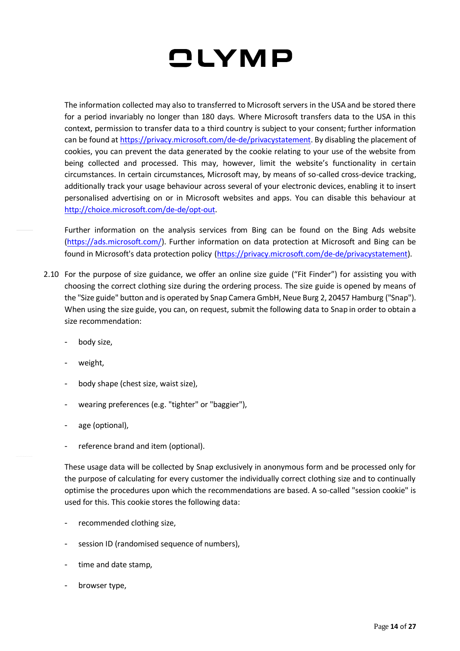The information collected may also to transferred to Microsoft servers in the USA and be stored there for a period invariably no longer than 180 days. Where Microsoft transfers data to the USA in this context, permission to transfer data to a third country is subject to your consent; further information can be found a[t https://privacy.microsoft.com/de-de/privacystatement.](https://privacy.microsoft.com/de-de/privacystatement) By disabling the placement of cookies, you can prevent the data generated by the cookie relating to your use of the website from being collected and processed. This may, however, limit the website's functionality in certain circumstances. In certain circumstances, Microsoft may, by means of so-called cross-device tracking, additionally track your usage behaviour across several of your electronic devices, enabling it to insert personalised advertising on or in Microsoft websites and apps. You can disable this behaviour at [http://choice.microsoft.com/de-de/opt-out.](http://choice.microsoft.com/de-de/opt-out)

Further information on the analysis services from Bing can be found on the Bing Ads website [\(https://ads.microsoft.com/\)](https://ads.microsoft.com/). Further information on data protection at Microsoft and Bing can be found in Microsoft's data protection policy [\(https://privacy.microsoft.com/de-de/privacystatement\)](https://privacy.microsoft.com/de-de/privacystatement).

- 2.10 For the purpose of size guidance, we offer an online size guide ("Fit Finder") for assisting you with choosing the correct clothing size during the ordering process. The size guide is opened by means of the "Size guide" button and is operated by Snap Camera GmbH, Neue Burg 2, 20457 Hamburg ("Snap"). When using the size guide, you can, on request, submit the following data to Snap in order to obtain a size recommendation:
	- body size,
	- weight,
	- body shape (chest size, waist size),
	- wearing preferences (e.g. "tighter" or "baggier"),
	- age (optional),
	- reference brand and item (optional).

These usage data will be collected by Snap exclusively in anonymous form and be processed only for the purpose of calculating for every customer the individually correct clothing size and to continually optimise the procedures upon which the recommendations are based. A so-called "session cookie" is used for this. This cookie stores the following data:

- recommended clothing size,
- session ID (randomised sequence of numbers),
- time and date stamp,
- browser type,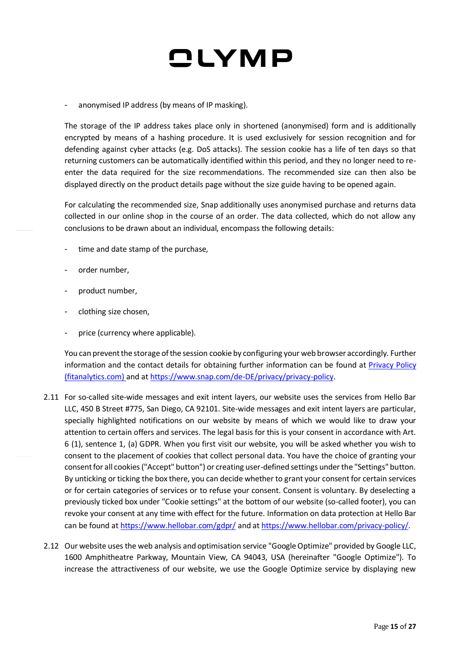anonymised IP address (by means of IP masking).

The storage of the IP address takes place only in shortened (anonymised) form and is additionally encrypted by means of a hashing procedure. It is used exclusively for session recognition and for defending against cyber attacks (e.g. DoS attacks). The session cookie has a life of ten days so that returning customers can be automatically identified within this period, and they no longer need to reenter the data required for the size recommendations. The recommended size can then also be displayed directly on the product details page without the size guide having to be opened again.

For calculating the recommended size, Snap additionally uses anonymised purchase and returns data collected in our online shop in the course of an order. The data collected, which do not allow any conclusions to be drawn about an individual, encompass the following details:

- time and date stamp of the purchase,
- order number,
- product number,
- clothing size chosen,
- price (currency where applicable).

You can prevent the storage of the session cookie by configuring your web browser accordingly. Further information and the contact details for obtaining further information can be found at [Privacy Policy](https://www.fitanalytics.com/privacy-policy)  [\(fitanalytics.com\)](https://www.fitanalytics.com/privacy-policy) and a[t https://www.snap.com/de-DE/privacy/privacy-policy.](https://www.snap.com/de-DE/privacy/privacy-policy)

- 2.11 For so-called site-wide messages and exit intent layers, our website uses the services from Hello Bar LLC, 450 B Street #775, San Diego, CA 92101. Site-wide messages and exit intent layers are particular, specially highlighted notifications on our website by means of which we would like to draw your attention to certain offers and services. The legal basis for this is your consent in accordance with Art. 6 (1), sentence 1, (a) GDPR. When you first visit our website, you will be asked whether you wish to consent to the placement of cookies that collect personal data. You have the choice of granting your consent for all cookies ("Accept" button") or creating user-defined settings under the "Settings" button. By unticking or ticking the box there, you can decide whether to grant your consent for certain services or for certain categories of services or to refuse your consent. Consent is voluntary. By deselecting a previously ticked box under "Cookie settings" at the bottom of our website (so-called footer), you can revoke your consent at any time with effect for the future. Information on data protection at Hello Bar can be found at <https://www.hellobar.com/gdpr/> and a[t https://www.hellobar.com/privacy-policy/.](https://www.hellobar.com/privacy-policy/)
- 2.12 Our website uses the web analysis and optimisation service "Google Optimize" provided by Google LLC, 1600 Amphitheatre Parkway, Mountain View, CA 94043, USA (hereinafter "Google Optimize"). To increase the attractiveness of our website, we use the Google Optimize service by displaying new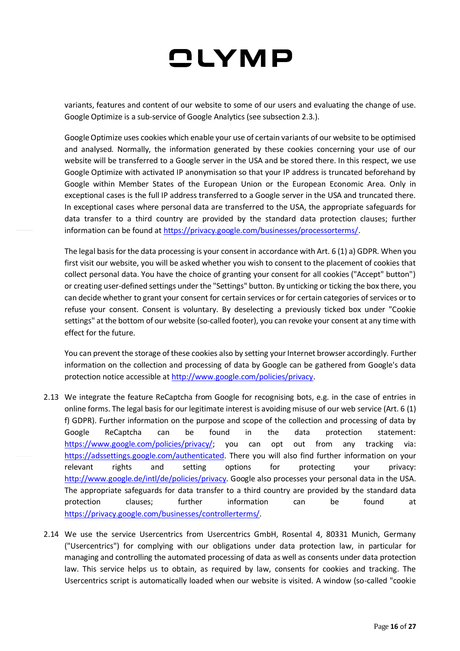variants, features and content of our website to some of our users and evaluating the change of use. Google Optimize is a sub-service of Google Analytics (see subsection 2.3.).

Google Optimize uses cookies which enable your use of certain variants of our website to be optimised and analysed. Normally, the information generated by these cookies concerning your use of our website will be transferred to a Google server in the USA and be stored there. In this respect, we use Google Optimize with activated IP anonymisation so that your IP address is truncated beforehand by Google within Member States of the European Union or the European Economic Area. Only in exceptional cases is the full IP address transferred to a Google server in the USA and truncated there. In exceptional cases where personal data are transferred to the USA, the appropriate safeguards for data transfer to a third country are provided by the standard data protection clauses; further information can be found a[t https://privacy.google.com/businesses/processorterms/.](https://privacy.google.com/businesses/processorterms/)

The legal basis for the data processing is your consent in accordance with Art. 6 (1) a) GDPR. When you first visit our website, you will be asked whether you wish to consent to the placement of cookies that collect personal data. You have the choice of granting your consent for all cookies ("Accept" button") or creating user-defined settings under the "Settings" button. By unticking or ticking the box there, you can decide whether to grant your consent for certain services or for certain categories of services or to refuse your consent. Consent is voluntary. By deselecting a previously ticked box under "Cookie settings" at the bottom of our website (so-called footer), you can revoke your consent at any time with effect for the future.

You can prevent the storage of these cookies also by setting your Internet browser accordingly. Further information on the collection and processing of data by Google can be gathered from Google's data protection notice accessible at [http://www.google.com/policies/privacy.](http://www.google.com/policies/privacy)

- 2.13 We integrate the feature ReCaptcha from Google for recognising bots, e.g. in the case of entries in online forms. The legal basis for our legitimate interest is avoiding misuse of our web service (Art. 6 (1) f) GDPR). Further information on the purpose and scope of the collection and processing of data by Google ReCaptcha can be found in the data protection statement: [https://www.google.com/policies/privacy/;](https://www.google.com/policies/privacy/) you can opt out from any tracking via: [https://adssettings.google.com/authenticated.](https://adssettings.google.com/authenticated) There you will also find further information on your relevant rights and setting options for protecting your privacy: [http://www.google.de/intl/de/policies/privacy.](http://www.google.de/intl/de/policies/privacy) Google also processes your personal data in the USA. The appropriate safeguards for data transfer to a third country are provided by the standard data protection clauses; further information can be found at [https://privacy.google.com/businesses/controllerterms/.](https://privacy.google.com/businesses/controllerterms/)
- 2.14 We use the service Usercentrics from Usercentrics GmbH, Rosental 4, 80331 Munich, Germany ("Usercentrics") for complying with our obligations under data protection law, in particular for managing and controlling the automated processing of data as well as consents under data protection law. This service helps us to obtain, as required by law, consents for cookies and tracking. The Usercentrics script is automatically loaded when our website is visited. A window (so-called "cookie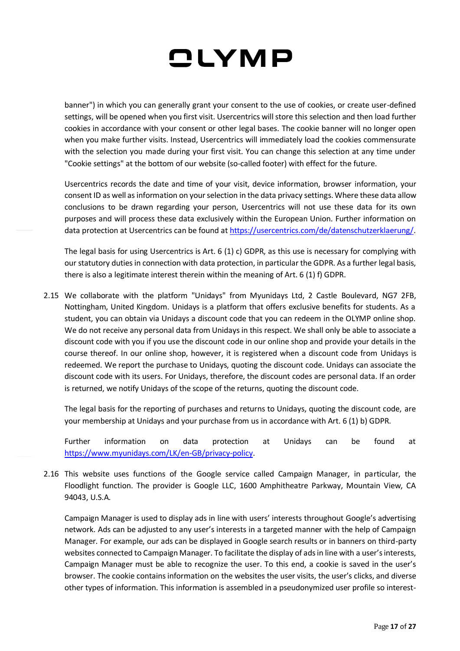banner") in which you can generally grant your consent to the use of cookies, or create user-defined settings, will be opened when you first visit. Usercentrics will store this selection and then load further cookies in accordance with your consent or other legal bases. The cookie banner will no longer open when you make further visits. Instead, Usercentrics will immediately load the cookies commensurate with the selection you made during your first visit. You can change this selection at any time under "Cookie settings" at the bottom of our website (so-called footer) with effect for the future.

Usercentrics records the date and time of your visit, device information, browser information, your consent ID as well as information on your selection in the data privacy settings. Where these data allow conclusions to be drawn regarding your person, Usercentrics will not use these data for its own purposes and will process these data exclusively within the European Union. Further information on data protection at Usercentrics can be found a[t https://usercentrics.com/de/datenschutzerklaerung/.](https://usercentrics.com/de/datenschutzerklaerung/)

The legal basis for using Usercentrics is Art.  $6(1)$  c) GDPR, as this use is necessary for complying with our statutory duties in connection with data protection, in particular the GDPR. As a further legal basis, there is also a legitimate interest therein within the meaning of Art. 6 (1) f) GDPR.

2.15 We collaborate with the platform "Unidays" from Myunidays Ltd, 2 Castle Boulevard, NG7 2FB, Nottingham, United Kingdom. Unidays is a platform that offers exclusive benefits for students. As a student, you can obtain via Unidays a discount code that you can redeem in the OLYMP online shop. We do not receive any personal data from Unidays in this respect. We shall only be able to associate a discount code with you if you use the discount code in our online shop and provide your details in the course thereof. In our online shop, however, it is registered when a discount code from Unidays is redeemed. We report the purchase to Unidays, quoting the discount code. Unidays can associate the discount code with its users. For Unidays, therefore, the discount codes are personal data. If an order is returned, we notify Unidays of the scope of the returns, quoting the discount code.

The legal basis for the reporting of purchases and returns to Unidays, quoting the discount code, are your membership at Unidays and your purchase from us in accordance with Art. 6 (1) b) GDPR.

Further information on data protection at Unidays can be found at [https://www.myunidays.com/LK/en-GB/privacy-policy.](https://www.myunidays.com/LK/en-GB/privacy-policy)

2.16 This website uses functions of the Google service called Campaign Manager, in particular, the Floodlight function. The provider is Google LLC, 1600 Amphitheatre Parkway, Mountain View, CA 94043, U.S.A.

Campaign Manager is used to display ads in line with users' interests throughout Google's advertising network. Ads can be adjusted to any user's interests in a targeted manner with the help of Campaign Manager. For example, our ads can be displayed in Google search results or in banners on third-party websites connected to Campaign Manager. To facilitate the display of ads in line with a user's interests, Campaign Manager must be able to recognize the user. To this end, a cookie is saved in the user's browser. The cookie contains information on the websites the user visits, the user's clicks, and diverse other types of information. This information is assembled in a pseudonymized user profile so interest-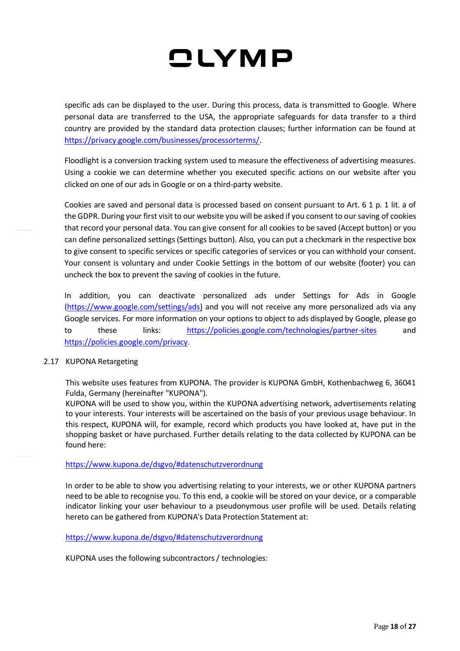specific ads can be displayed to the user. During this process, data is transmitted to Google. Where personal data are transferred to the USA, the appropriate safeguards for data transfer to a third country are provided by the standard data protection clauses; further information can be found at [https://privacy.google.com/businesses/processorterms/.](https://privacy.google.com/businesses/processorterms/)

Floodlight is a conversion tracking system used to measure the effectiveness of advertising measures. Using a cookie we can determine whether you executed specific actions on our website after you clicked on one of our ads in Google or on a third-party website.

Cookies are saved and personal data is processed based on consent pursuant to Art. 6 1 p. 1 lit. a of the GDPR. During your first visit to our website you will be asked if you consent to our saving of cookies that record your personal data. You can give consent for all cookies to be saved (Accept button) or you can define personalized settings (Settings button). Also, you can put a checkmark in the respective box to give consent to specific services or specific categories of services or you can withhold your consent. Your consent is voluntary and under Cookie Settings in the bottom of our website (footer) you can uncheck the box to prevent the saving of cookies in the future.

In addition, you can deactivate personalized ads under Settings for Ads in Google [\(https://www.google.com/settings/ads\)](https://www.google.com/settings/ads) and you will not receive any more personalized ads via any Google services. For more information on your options to object to ads displayed by Google, please go to these links: <https://policies.google.com/technologies/partner-sites> and [https://policies.google.com/privacy.](https://policies.google.com/privacy)

### 2.17 KUPONA Retargeting

This website uses features from KUPONA. The provider is KUPONA GmbH, Kothenbachweg 6, 36041 Fulda, Germany (hereinafter "KUPONA").

KUPONA will be used to show you, within the KUPONA advertising network, advertisements relating to your interests. Your interests will be ascertained on the basis of your previous usage behaviour. In this respect, KUPONA will, for example, record which products you have looked at, have put in the shopping basket or have purchased. Further details relating to the data collected by KUPONA can be found here:

#### <https://www.kupona.de/dsgvo/#datenschutzverordnung>

In order to be able to show you advertising relating to your interests, we or other KUPONA partners need to be able to recognise you. To this end, a cookie will be stored on your device, or a comparable indicator linking your user behaviour to a pseudonymous user profile will be used. Details relating hereto can be gathered from KUPONA's Data Protection Statement at:

#### <https://www.kupona.de/dsgvo/#datenschutzverordnung>

KUPONA uses the following subcontractors / technologies: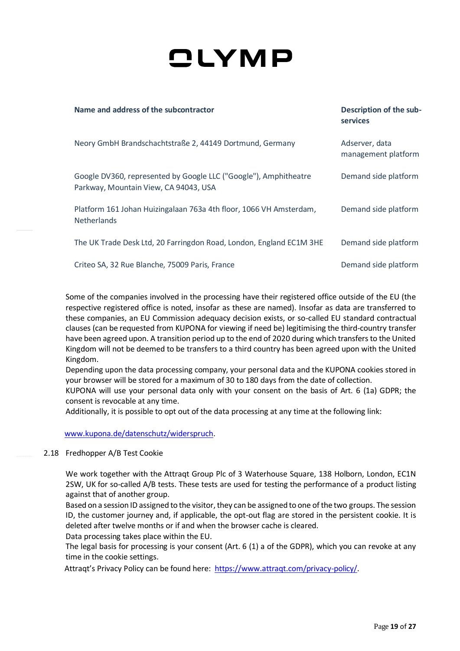| Name and address of the subcontractor                                                                     | Description of the sub-<br><b>services</b> |
|-----------------------------------------------------------------------------------------------------------|--------------------------------------------|
| Neory GmbH Brandschachtstraße 2, 44149 Dortmund, Germany                                                  | Adserver, data<br>management platform      |
| Google DV360, represented by Google LLC ("Google"), Amphitheatre<br>Parkway, Mountain View, CA 94043, USA | Demand side platform                       |
| Platform 161 Johan Huizingalaan 763a 4th floor, 1066 VH Amsterdam,<br><b>Netherlands</b>                  | Demand side platform                       |
| The UK Trade Desk Ltd, 20 Farringdon Road, London, England EC1M 3HE                                       | Demand side platform                       |
| Criteo SA, 32 Rue Blanche, 75009 Paris, France                                                            | Demand side platform                       |

Some of the companies involved in the processing have their registered office outside of the EU (the respective registered office is noted, insofar as these are named). Insofar as data are transferred to these companies, an EU Commission adequacy decision exists, or so-called EU standard contractual clauses (can be requested from KUPONA for viewing if need be) legitimising the third-country transfer have been agreed upon. A transition period up to the end of 2020 during which transfers to the United Kingdom will not be deemed to be transfers to a third country has been agreed upon with the United Kingdom.

Depending upon the data processing company, your personal data and the KUPONA cookies stored in your browser will be stored for a maximum of 30 to 180 days from the date of collection.

KUPONA will use your personal data only with your consent on the basis of Art. 6 (1a) GDPR; the consent is revocable at any time.

Additionally, it is possible to opt out of the data processing at any time at the following link:

[www.kupona.de/datenschutz/widerspruch.](http://www.kupona.de/datenschutz/widerspruch)

### 2.18 Fredhopper A/B Test Cookie

We work together with the Attraqt Group Plc of 3 Waterhouse Square, 138 Holborn, London, EC1N 2SW, UK for so-called A/B tests. These tests are used for testing the performance of a product listing against that of another group.

Based on a session ID assigned to the visitor, they can be assigned to one of the two groups. The session ID, the customer journey and, if applicable, the opt-out flag are stored in the persistent cookie. It is deleted after twelve months or if and when the browser cache is cleared. Data processing takes place within the EU.

The legal basis for processing is your consent (Art. 6 (1) a of the GDPR), which you can revoke at any time in the cookie settings.

Attraqt's Privacy Policy can be found here: [https://www.attraqt.com/privacy-policy/.](https://www.attraqt.com/privacy-policy/)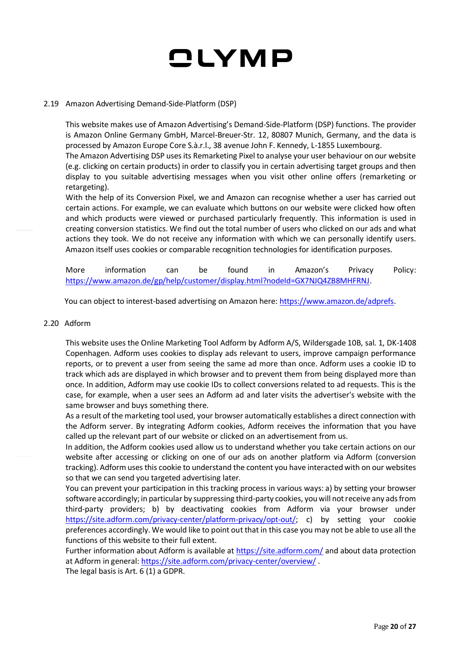#### 2.19 Amazon Advertising Demand-Side-Platform (DSP)

This website makes use of Amazon Advertising's Demand-Side-Platform (DSP) functions. The provider is Amazon Online Germany GmbH, Marcel-Breuer-Str. 12, 80807 Munich, Germany, and the data is processed by Amazon Europe Core S.à.r.l., 38 avenue John F. Kennedy, L-1855 Luxembourg.

The Amazon Advertising DSP uses its Remarketing Pixel to analyse your user behaviour on our website (e.g. clicking on certain products) in order to classify you in certain advertising target groups and then display to you suitable advertising messages when you visit other online offers (remarketing or retargeting).

With the help of its Conversion Pixel, we and Amazon can recognise whether a user has carried out certain actions. For example, we can evaluate which buttons on our website were clicked how often and which products were viewed or purchased particularly frequently. This information is used in creating conversion statistics. We find out the total number of users who clicked on our ads and what actions they took. We do not receive any information with which we can personally identify users. Amazon itself uses cookies or comparable recognition technologies for identification purposes.

More information can be found in Amazon's Privacy Policy: [https://www.amazon.de/gp/help/customer/display.html?nodeId=GX7NJQ4ZB8MHFRNJ.](https://www.amazon.de/gp/help/customer/display.html?nodeId=GX7NJQ4ZB8MHFRNJ)

You can object to interest-based advertising on Amazon here: [https://www.amazon.de/adprefs.](https://www.amazon.de/adprefs)

#### 2.20 Adform

This website uses the Online Marketing Tool Adform by Adform A/S, Wildersgade 10B, sal. 1, DK-1408 Copenhagen. Adform uses cookies to display ads relevant to users, improve campaign performance reports, or to prevent a user from seeing the same ad more than once. Adform uses a cookie ID to track which ads are displayed in which browser and to prevent them from being displayed more than once. In addition, Adform may use cookie IDs to collect conversions related to ad requests. This is the case, for example, when a user sees an Adform ad and later visits the advertiser's website with the same browser and buys something there.

As a result of the marketing tool used, your browser automatically establishes a direct connection with the Adform server. By integrating Adform cookies, Adform receives the information that you have called up the relevant part of our website or clicked on an advertisement from us.

In addition, the Adform cookies used allow us to understand whether you take certain actions on our website after accessing or clicking on one of our ads on another platform via Adform (conversion tracking). Adform uses this cookie to understand the content you have interacted with on our websites so that we can send you targeted advertising later.

You can prevent your participation in this tracking process in various ways: a) by setting your browser software accordingly; in particular by suppressing third-party cookies, you will not receive any ads from third-party providers; b) by deactivating cookies from Adform via your browser under [https://site.adform.com/privacy-center/platform-privacy/opt-out/;](https://site.adform.com/privacy-center/platform-privacy/opt-out/) c) by setting your cookie preferences accordingly. We would like to point out that in this case you may not be able to use all the functions of this website to their full extent.

Further information about Adform is available a[t https://site.adform.com/](https://site.adform.com/) and about data protection at Adform in general[: https://site.adform.com/privacy-center/overview/](https://site.adform.com/privacy-center/overview/).

The legal basis is Art. 6 (1) a GDPR.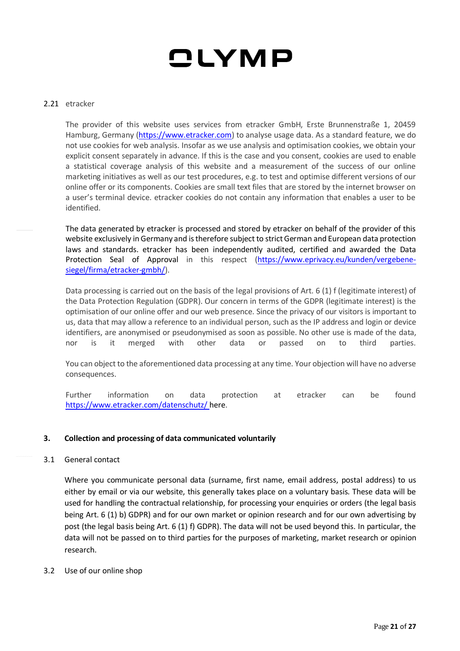#### 2.21 etracker

The provider of this website uses services from etracker GmbH, Erste Brunnenstraße 1, 20459 Hamburg, Germany [\(https://www.etracker.com\)](https://www.etracker.com/) to analyse usage data. As a standard feature, we do not use cookies for web analysis. Insofar as we use analysis and optimisation cookies, we obtain your explicit consent separately in advance. If this is the case and you consent, cookies are used to enable a statistical coverage analysis of this website and a measurement of the success of our online marketing initiatives as well as our test procedures, e.g. to test and optimise different versions of our online offer or its components. Cookies are small text files that are stored by the internet browser on a user's terminal device. etracker cookies do not contain any information that enables a user to be identified.

The data generated by etracker is processed and stored by etracker on behalf of the provider of this website exclusively in Germany and is therefore subject to strict German and European data protection laws and standards. etracker has been independently audited, certified and awarded the Data Protection Seal of Approval in this respect [\(https://www.eprivacy.eu/kunden/vergebene](https://www.eprivacy.eu/kunden/vergebene-siegel/firma/etracker-gmbh/)[siegel/firma/etracker-gmbh/\)](https://www.eprivacy.eu/kunden/vergebene-siegel/firma/etracker-gmbh/).

Data processing is carried out on the basis of the legal provisions of Art. 6 (1) f (legitimate interest) of the Data Protection Regulation (GDPR). Our concern in terms of the GDPR (legitimate interest) is the optimisation of our online offer and our web presence. Since the privacy of our visitors is important to us, data that may allow a reference to an individual person, such as the IP address and login or device identifiers, are anonymised or pseudonymised as soon as possible. No other use is made of the data, nor is it merged with other data or passed on to third parties.

You can object to the aforementioned data processing at any time. Your objection will have no adverse consequences.

Further information on data protection at etracker can be found <https://www.etracker.com/datenschutz/> here.

### **3. Collection and processing of data communicated voluntarily**

#### 3.1 General contact

Where you communicate personal data (surname, first name, email address, postal address) to us either by email or via our website, this generally takes place on a voluntary basis. These data will be used for handling the contractual relationship, for processing your enquiries or orders (the legal basis being Art. 6 (1) b) GDPR) and for our own market or opinion research and for our own advertising by post (the legal basis being Art. 6 (1) f) GDPR). The data will not be used beyond this. In particular, the data will not be passed on to third parties for the purposes of marketing, market research or opinion research.

#### 3.2 Use of our online shop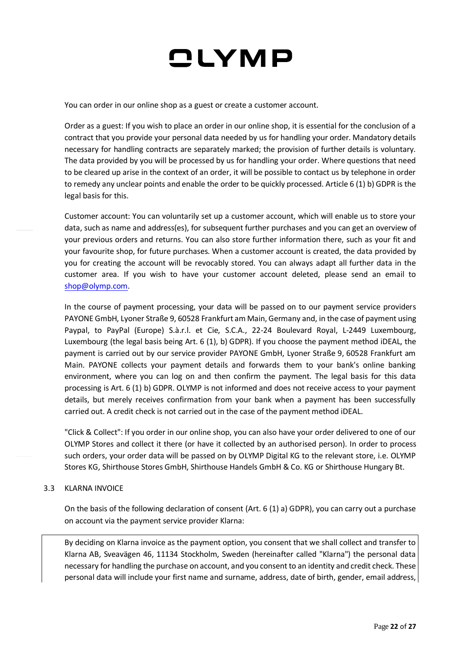You can order in our online shop as a guest or create a customer account.

Order as a guest: If you wish to place an order in our online shop, it is essential for the conclusion of a contract that you provide your personal data needed by us for handling your order. Mandatory details necessary for handling contracts are separately marked; the provision of further details is voluntary. The data provided by you will be processed by us for handling your order. Where questions that need to be cleared up arise in the context of an order, it will be possible to contact us by telephone in order to remedy any unclear points and enable the order to be quickly processed. Article 6 (1) b) GDPR is the legal basis for this.

Customer account: You can voluntarily set up a customer account, which will enable us to store your data, such as name and address(es), for subsequent further purchases and you can get an overview of your previous orders and returns. You can also store further information there, such as your fit and your favourite shop, for future purchases. When a customer account is created, the data provided by you for creating the account will be revocably stored. You can always adapt all further data in the customer area. If you wish to have your customer account deleted, please send an email to [shop@olymp.com.](mailto:shop@olymp.com)

In the course of payment processing, your data will be passed on to our payment service providers PAYONE GmbH, Lyoner Straße 9, 60528 Frankfurt am Main, Germany and, in the case of payment using Paypal, to PayPal (Europe) S.à.r.l. et Cie, S.C.A., 22-24 Boulevard Royal, L-2449 Luxembourg, Luxembourg (the legal basis being Art. 6 (1), b) GDPR). If you choose the payment method iDEAL, the payment is carried out by our service provider PAYONE GmbH, Lyoner Straße 9, 60528 Frankfurt am Main. PAYONE collects your payment details and forwards them to your bank's online banking environment, where you can log on and then confirm the payment. The legal basis for this data processing is Art. 6 (1) b) GDPR. OLYMP is not informed and does not receive access to your payment details, but merely receives confirmation from your bank when a payment has been successfully carried out. A credit check is not carried out in the case of the payment method iDEAL.

"Click & Collect": If you order in our online shop, you can also have your order delivered to one of our OLYMP Stores and collect it there (or have it collected by an authorised person). In order to process such orders, your order data will be passed on by OLYMP Digital KG to the relevant store, i.e. OLYMP Stores KG, Shirthouse Stores GmbH, Shirthouse Handels GmbH & Co. KG or Shirthouse Hungary Bt.

3.3 KLARNA INVOICE

On the basis of the following declaration of consent (Art. 6 (1) a) GDPR), you can carry out a purchase on account via the payment service provider Klarna:

By deciding on Klarna invoice as the payment option, you consent that we shall collect and transfer to Klarna AB, Sveavägen 46, 11134 Stockholm, Sweden (hereinafter called "Klarna") the personal data necessary for handling the purchase on account, and you consent to an identity and credit check. These personal data will include your first name and surname, address, date of birth, gender, email address,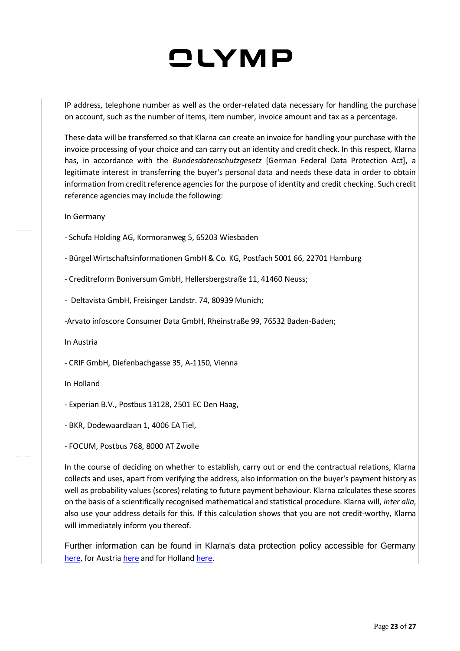IP address, telephone number as well as the order-related data necessary for handling the purchase on account, such as the number of items, item number, invoice amount and tax as a percentage.

These data will be transferred so that Klarna can create an invoice for handling your purchase with the invoice processing of your choice and can carry out an identity and credit check. In this respect, Klarna has, in accordance with the *Bundesdatenschutzgesetz* [German Federal Data Protection Act], a legitimate interest in transferring the buyer's personal data and needs these data in order to obtain information from credit reference agencies for the purpose of identity and credit checking. Such credit reference agencies may include the following:

In Germany

- Schufa Holding AG, Kormoranweg 5, 65203 Wiesbaden
- Bürgel Wirtschaftsinformationen GmbH & Co. KG, Postfach 5001 66, 22701 Hamburg
- Creditreform Boniversum GmbH, Hellersbergstraße 11, 41460 Neuss;
- Deltavista GmbH, Freisinger Landstr. 74, 80939 Munich;
- -Arvato infoscore Consumer Data GmbH, Rheinstraße 99, 76532 Baden-Baden;

In Austria

- CRIF GmbH, Diefenbachgasse 35, A-1150, Vienna

In Holland

- Experian B.V., Postbus 13128, 2501 EC Den Haag,
- BKR, Dodewaardlaan 1, 4006 EA Tiel,
- FOCUM, Postbus 768, 8000 AT Zwolle

In the course of deciding on whether to establish, carry out or end the contractual relations, Klarna collects and uses, apart from verifying the address, also information on the buyer's payment history as well as probability values (scores) relating to future payment behaviour. Klarna calculates these scores on the basis of a scientifically recognised mathematical and statistical procedure. Klarna will, *inter alia*, also use your address details for this. If this calculation shows that you are not credit-worthy, Klarna will immediately inform you thereof.

Further information can be found in Klarna's data protection policy accessible for Germany [here,](https://cdn.klarna.com/1.0/shared/content/policy/data/de_de/data_protection.pdf) for Austria [here](https://cdn.klarna.com/1.0/shared/content/policy/data/de_at/data_protection.pdf) and for Holland [here.](https://cdn.klarna.com/1.0/shared/content/policy/data/nl_nl/data_protection.pdf)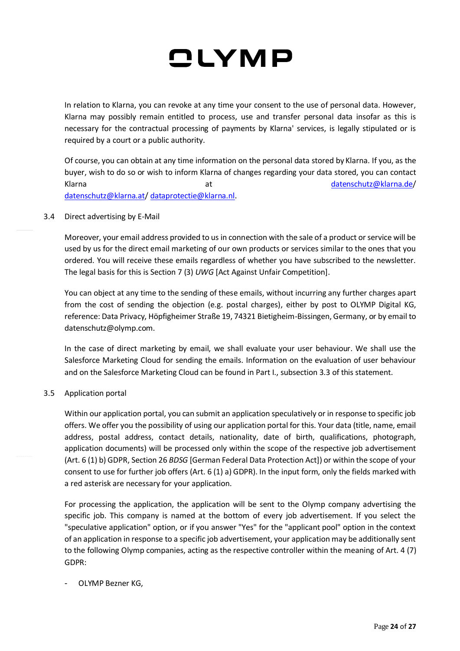In relation to Klarna, you can revoke at any time your consent to the use of personal data. However, Klarna may possibly remain entitled to process, use and transfer personal data insofar as this is necessary for the contractual processing of payments by Klarna' services, is legally stipulated or is required by a court or a public authority.

Of course, you can obtain at any time information on the personal data stored by Klarna. If you, as the buyer, wish to do so or wish to inform Klarna of changes regarding your data stored, you can contact Klarna at [datenschutz@klarna.de/](mailto:datenschutz@klarna.de) [datenschutz@klarna.at/](mailto:datenschutz@klarna.at) [dataprotectie@klarna.nl.](mailto:dataprotectie@klarna.nl)

#### 3.4 Direct advertising by E-Mail

Moreover, your email address provided to us in connection with the sale of a product or service will be used by us for the direct email marketing of our own products or services similar to the ones that you ordered. You will receive these emails regardless of whether you have subscribed to the newsletter. The legal basis for this is Section 7 (3) *UWG* [Act Against Unfair Competition].

You can object at any time to the sending of these emails, without incurring any further charges apart from the cost of sending the objection (e.g. postal charges), either by post to OLYMP Digital KG, reference: Data Privacy, Höpfigheimer Straße 19, 74321 Bietigheim-Bissingen, Germany, or by email to datenschutz@olymp.com.

In the case of direct marketing by email, we shall evaluate your user behaviour. We shall use the Salesforce Marketing Cloud for sending the emails. Information on the evaluation of user behaviour and on the Salesforce Marketing Cloud can be found in Part I., subsection 3.3 of this statement.

#### 3.5 Application portal

Within our application portal, you can submit an application speculatively or in response to specific job offers. We offer you the possibility of using our application portal for this. Your data (title, name, email address, postal address, contact details, nationality, date of birth, qualifications, photograph, application documents) will be processed only within the scope of the respective job advertisement (Art. 6 (1) b) GDPR, Section 26 *BDSG* [German Federal Data Protection Act]) or within the scope of your consent to use for further job offers (Art. 6 (1) a) GDPR). In the input form, only the fields marked with a red asterisk are necessary for your application.

For processing the application, the application will be sent to the Olymp company advertising the specific job. This company is named at the bottom of every job advertisement. If you select the "speculative application" option, or if you answer "Yes" for the "applicant pool" option in the context of an application in response to a specific job advertisement, your application may be additionally sent to the following Olymp companies, acting as the respective controller within the meaning of Art. 4 (7) GDPR:

### - OLYMP Bezner KG,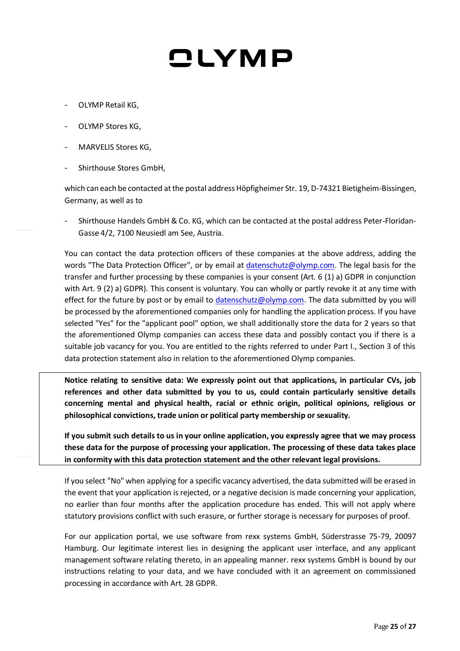- OLYMP Retail KG,
- OLYMP Stores KG,
- MARVELIS Stores KG,
- Shirthouse Stores GmbH,

which can each be contacted at the postal address Höpfigheimer Str. 19, D-74321 Bietigheim-Bissingen, Germany, as well as to

- Shirthouse Handels GmbH & Co. KG, which can be contacted at the postal address Peter-Floridan-Gasse 4/2, 7100 Neusiedl am See, Austria.

You can contact the data protection officers of these companies at the above address, adding the words "The Data Protection Officer", or by email at [datenschutz@olymp.com.](mailto:datenschutz@olymp.com) The legal basis for the transfer and further processing by these companies is your consent (Art. 6 (1) a) GDPR in conjunction with Art. 9 (2) a) GDPR). This consent is voluntary. You can wholly or partly revoke it at any time with effect for the future by post or by email to [datenschutz@olymp.com.](mailto:datenschutz@olymp.com) The data submitted by you will be processed by the aforementioned companies only for handling the application process. If you have selected "Yes" for the "applicant pool" option, we shall additionally store the data for 2 years so that the aforementioned Olymp companies can access these data and possibly contact you if there is a suitable job vacancy for you. You are entitled to the rights referred to under Part I., Section 3 of this data protection statement also in relation to the aforementioned Olymp companies.

**Notice relating to sensitive data: We expressly point out that applications, in particular CVs, job references and other data submitted by you to us, could contain particularly sensitive details concerning mental and physical health, racial or ethnic origin, political opinions, religious or philosophical convictions, trade union or political party membership or sexuality.**

**If you submit such details to us in your online application, you expressly agree that we may process these data for the purpose of processing your application. The processing of these data takes place in conformity with this data protection statement and the other relevant legal provisions.**

If you select "No" when applying for a specific vacancy advertised, the data submitted will be erased in the event that your application is rejected, or a negative decision is made concerning your application, no earlier than four months after the application procedure has ended. This will not apply where statutory provisions conflict with such erasure, or further storage is necessary for purposes of proof.

For our application portal, we use software from rexx systems GmbH, Süderstrasse 75-79, 20097 Hamburg. Our legitimate interest lies in designing the applicant user interface, and any applicant management software relating thereto, in an appealing manner. rexx systems GmbH is bound by our instructions relating to your data, and we have concluded with it an agreement on commissioned processing in accordance with Art. 28 GDPR.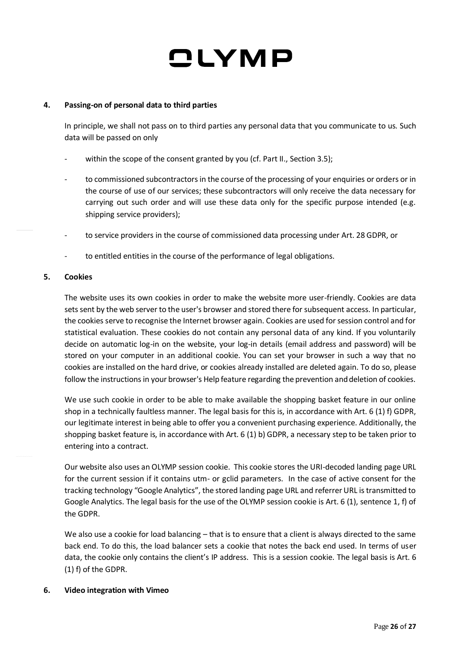#### **4. Passing-on of personal data to third parties**

In principle, we shall not pass on to third parties any personal data that you communicate to us. Such data will be passed on only

- within the scope of the consent granted by you (cf. Part II., Section 3.5);
- to commissioned subcontractors in the course of the processing of your enquiries or orders or in the course of use of our services; these subcontractors will only receive the data necessary for carrying out such order and will use these data only for the specific purpose intended (e.g. shipping service providers);
- to service providers in the course of commissioned data processing under Art. 28 GDPR, or
- to entitled entities in the course of the performance of legal obligations.

#### **5. Cookies**

The website uses its own cookies in order to make the website more user-friendly. Cookies are data sets sent by the web server to the user's browser and stored there for subsequent access. In particular, the cookies serve to recognise the Internet browser again. Cookies are used for session control and for statistical evaluation. These cookies do not contain any personal data of any kind. If you voluntarily decide on automatic log-in on the website, your log-in details (email address and password) will be stored on your computer in an additional cookie. You can set your browser in such a way that no cookies are installed on the hard drive, or cookies already installed are deleted again. To do so, please follow the instructions in your browser's Help feature regarding the prevention and deletion of cookies.

We use such cookie in order to be able to make available the shopping basket feature in our online shop in a technically faultless manner. The legal basis for this is, in accordance with Art. 6 (1) f) GDPR, our legitimate interest in being able to offer you a convenient purchasing experience. Additionally, the shopping basket feature is, in accordance with Art. 6 (1) b) GDPR, a necessary step to be taken prior to entering into a contract.

Our website also uses an OLYMP session cookie. This cookie stores the URI-decoded landing page URL for the current session if it contains utm- or gclid parameters. In the case of active consent for the tracking technology "Google Analytics", the stored landing page URL and referrer URL is transmitted to Google Analytics. The legal basis for the use of the OLYMP session cookie is Art. 6 (1), sentence 1, f) of the GDPR.

We also use a cookie for load balancing – that is to ensure that a client is always directed to the same back end. To do this, the load balancer sets a cookie that notes the back end used. In terms of user data, the cookie only contains the client's IP address. This is a session cookie. The legal basis is Art. 6 (1) f) of the GDPR.

#### **6. Video integration with Vimeo**